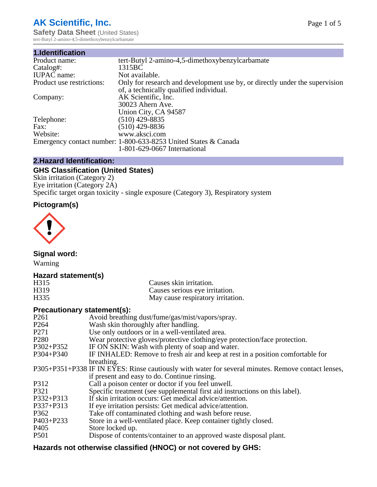# **AK Scientific, Inc.**

**Safety Data Sheet (United States)** tert-Butyl 2-amino-4,5-dimethoxybenzylcarbamate

| 1.Identification          |                                                                                                                        |
|---------------------------|------------------------------------------------------------------------------------------------------------------------|
| Product name:             | tert-Butyl 2-amino-4,5-dimethoxybenzylcarbamate                                                                        |
| Catalog#:                 | 1315BC                                                                                                                 |
| <b>IUPAC</b> name:        | Not available.                                                                                                         |
| Product use restrictions: | Only for research and development use by, or directly under the supervision<br>of, a technically qualified individual. |
| Company:                  | AK Scientific, Inc.                                                                                                    |
|                           | 30023 Ahern Ave.                                                                                                       |
|                           | Union City, CA 94587                                                                                                   |
| Telephone:                | $(510)$ 429-8835                                                                                                       |
| Fax:                      | (510) 429-8836                                                                                                         |
| Website:                  | www.aksci.com                                                                                                          |
|                           | Emergency contact number: 1-800-633-8253 United States & Canada                                                        |
|                           | 1-801-629-0667 International                                                                                           |

# **2.Hazard Identification:**

# **GHS Classification (United States)**

Skin irritation (Category 2) Eye irritation (Category 2A) Specific target organ toxicity - single exposure (Category 3), Respiratory system

# **Pictogram(s)**



**Signal word:**

Warning

### **Hazard statement(s)**

| H315 | Causes skin irritation.           |
|------|-----------------------------------|
| H319 | Causes serious eye irritation.    |
| H335 | May cause respiratory irritation. |

### **Precautionary statement(s):**

| P <sub>261</sub> | Avoid breathing dust/fume/gas/mist/vapors/spray.                                                   |
|------------------|----------------------------------------------------------------------------------------------------|
| P <sub>264</sub> | Wash skin thoroughly after handling.                                                               |
| P <sub>271</sub> | Use only outdoors or in a well-ventilated area.                                                    |
| P <sub>280</sub> | Wear protective gloves/protective clothing/eye protection/face protection.                         |
| P302+P352        | IF ON SKIN: Wash with plenty of soap and water.                                                    |
| $P304 + P340$    | IF INHALED: Remove to fresh air and keep at rest in a position comfortable for                     |
|                  | breathing.                                                                                         |
|                  | P305+P351+P338 IF IN EYES: Rinse cautiously with water for several minutes. Remove contact lenses, |
|                  | if present and easy to do. Continue rinsing.                                                       |
| P312             | Call a poison center or doctor if you feel unwell.                                                 |
| P321             | Specific treatment (see supplemental first aid instructions on this label).                        |
| P332+P313        | If skin irritation occurs: Get medical advice/attention.                                           |
| P337+P313        | If eye irritation persists: Get medical advice/attention.                                          |
| P362             | Take off contaminated clothing and wash before reuse.                                              |
| P403+P233        | Store in a well-ventilated place. Keep container tightly closed.                                   |
| P <sub>405</sub> | Store locked up.                                                                                   |
| P <sub>501</sub> | Dispose of contents/container to an approved waste disposal plant.                                 |
|                  |                                                                                                    |

# **Hazards not otherwise classified (HNOC) or not covered by GHS:**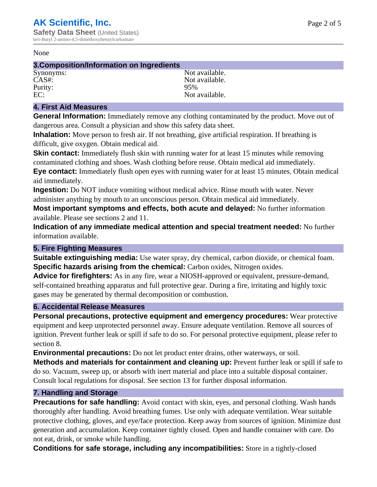#### None

#### **3.Composition/Information on Ingredients**

Purity:<br>EC:

Synonyms: Not available. CAS#:<br>Purity: 95% 95% Not available.

## **4. First Aid Measures**

**General Information:** Immediately remove any clothing contaminated by the product. Move out of dangerous area. Consult a physician and show this safety data sheet.

**Inhalation:** Move person to fresh air. If not breathing, give artificial respiration. If breathing is difficult, give oxygen. Obtain medical aid.

**Skin contact:** Immediately flush skin with running water for at least 15 minutes while removing contaminated clothing and shoes. Wash clothing before reuse. Obtain medical aid immediately. **Eye contact:** Immediately flush open eyes with running water for at least 15 minutes. Obtain medical aid immediately.

**Ingestion:** Do NOT induce vomiting without medical advice. Rinse mouth with water. Never administer anything by mouth to an unconscious person. Obtain medical aid immediately.

**Most important symptoms and effects, both acute and delayed:** No further information available. Please see sections 2 and 11.

**Indication of any immediate medical attention and special treatment needed:** No further information available.

### **5. Fire Fighting Measures**

**Suitable extinguishing media:** Use water spray, dry chemical, carbon dioxide, or chemical foam. **Specific hazards arising from the chemical:** Carbon oxides, Nitrogen oxides.

**Advice for firefighters:** As in any fire, wear a NIOSH-approved or equivalent, pressure-demand, self-contained breathing apparatus and full protective gear. During a fire, irritating and highly toxic gases may be generated by thermal decomposition or combustion.

### **6. Accidental Release Measures**

**Personal precautions, protective equipment and emergency procedures:** Wear protective equipment and keep unprotected personnel away. Ensure adequate ventilation. Remove all sources of ignition. Prevent further leak or spill if safe to do so. For personal protective equipment, please refer to section 8.

**Environmental precautions:** Do not let product enter drains, other waterways, or soil.

**Methods and materials for containment and cleaning up:** Prevent further leak or spill if safe to do so. Vacuum, sweep up, or absorb with inert material and place into a suitable disposal container. Consult local regulations for disposal. See section 13 for further disposal information.

### **7. Handling and Storage**

**Precautions for safe handling:** Avoid contact with skin, eyes, and personal clothing. Wash hands thoroughly after handling. Avoid breathing fumes. Use only with adequate ventilation. Wear suitable protective clothing, gloves, and eye/face protection. Keep away from sources of ignition. Minimize dust generation and accumulation. Keep container tightly closed. Open and handle container with care. Do not eat, drink, or smoke while handling.

**Conditions for safe storage, including any incompatibilities:** Store in a tightly-closed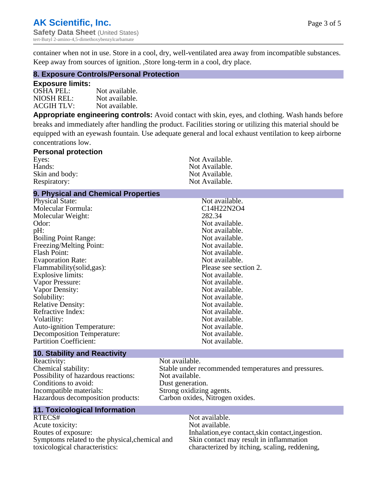container when not in use. Store in a cool, dry, well-ventilated area away from incompatible substances. Keep away from sources of ignition. ,Store long-term in a cool, dry place.

#### **8. Exposure Controls/Personal Protection**

#### **Exposure limits:**

| OSHA PEL:  | Not available. |
|------------|----------------|
| NIOSH REL: | Not available. |
| ACGIH TLV: | Not available. |

**Appropriate engineering controls:** Avoid contact with skin, eyes, and clothing. Wash hands before breaks and immediately after handling the product. Facilities storing or utilizing this material should be equipped with an eyewash fountain. Use adequate general and local exhaust ventilation to keep airborne concentrations low.

| Not Available. |
|----------------|
| Not Available. |
| Not Available. |
| Not Available. |
|                |

## **9. Physical and Chemical Properties**

| Physical State:                   | Not available.        |
|-----------------------------------|-----------------------|
| Molecular Formula:                | C14H22N2O4            |
| Molecular Weight:                 | 282.34                |
| Odor:                             | Not available.        |
| pH:                               | Not available.        |
| <b>Boiling Point Range:</b>       | Not available.        |
| Freezing/Melting Point:           | Not available.        |
| <b>Flash Point:</b>               | Not available.        |
| <b>Evaporation Rate:</b>          | Not available.        |
| Flammability(solid,gas):          | Please see section 2. |
| <b>Explosive limits:</b>          | Not available.        |
| Vapor Pressure:                   | Not available.        |
| Vapor Density:                    | Not available.        |
| Solubility:                       | Not available.        |
| <b>Relative Density:</b>          | Not available.        |
| Refractive Index:                 | Not available.        |
| Volatility:                       | Not available.        |
| <b>Auto-ignition Temperature:</b> | Not available.        |
| Decomposition Temperature:        | Not available.        |
| <b>Partition Coefficient:</b>     | Not available.        |
|                                   |                       |

#### **10. Stability and Reactivity**

Reactivity: Not available.<br>
Chemical stability: Stable under re Possibility of hazardous reactions: Conditions to avoid: Dust generation. Incompatible materials: Strong oxidizing agents.<br>
Hazardous decomposition products: Carbon oxides, Nitrogen oxides. Hazardous decomposition products:

## **11. Toxicological Information**

RTECS# Not available. Acute toxicity: Not available.<br>
Routes of exposure: This is a multiple in the link of exposure in the link of the link of exposure. Symptoms related to the physical,chemical and toxicological characteristics:

Stable under recommended temperatures and pressures.<br>Not available.

Inhalation,eye contact,skin contact,ingestion. Skin contact may result in inflammation characterized by itching, scaling, reddening,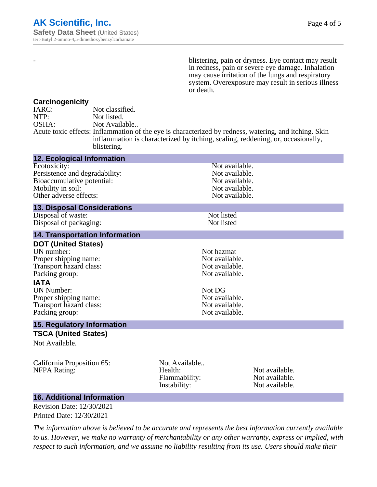- blistering, pain or dryness. Eye contact may result in redness, pain or severe eye damage. Inhalation may cause irritation of the lungs and respiratory system. Overexposure may result in serious illness or death.

#### **Carcinogenicity**

| IARC: | Not classified.                                                                                       |
|-------|-------------------------------------------------------------------------------------------------------|
| NTP:  | Not listed.                                                                                           |
| OSHA: | Not Available                                                                                         |
|       | Acute toxic effects: Inflammation of the eye is characterized by redness, watering, and itching. Skin |
|       | inflammation is characterized by itching, scaling, reddening, or, occasionally,                       |
|       | blistering.                                                                                           |

| <b>12. Ecological Information</b>                                                                                                                                                                                        |                                                           |                                                                                                                        |  |
|--------------------------------------------------------------------------------------------------------------------------------------------------------------------------------------------------------------------------|-----------------------------------------------------------|------------------------------------------------------------------------------------------------------------------------|--|
| Ecotoxicity:<br>Persistence and degradability:<br>Bioaccumulative potential:<br>Mobility in soil:<br>Other adverse effects:                                                                                              |                                                           | Not available.<br>Not available.<br>Not available.<br>Not available.<br>Not available.                                 |  |
| <b>13. Disposal Considerations</b>                                                                                                                                                                                       |                                                           |                                                                                                                        |  |
| Disposal of waste:<br>Disposal of packaging:                                                                                                                                                                             |                                                           | Not listed<br>Not listed                                                                                               |  |
| <b>14. Transportation Information</b>                                                                                                                                                                                    |                                                           |                                                                                                                        |  |
| <b>DOT (United States)</b><br>UN number:<br>Proper shipping name:<br>Transport hazard class:<br>Packing group:<br><b>IATA</b><br><b>UN Number:</b><br>Proper shipping name:<br>Transport hazard class:<br>Packing group: | Not DG                                                    | Not hazmat<br>Not available.<br>Not available.<br>Not available.<br>Not available.<br>Not available.<br>Not available. |  |
| <b>15. Regulatory Information</b>                                                                                                                                                                                        |                                                           |                                                                                                                        |  |
| <b>TSCA (United States)</b><br>Not Available.                                                                                                                                                                            |                                                           |                                                                                                                        |  |
| California Proposition 65:<br><b>NFPA Rating:</b>                                                                                                                                                                        | Not Available<br>Health:<br>Flammability:<br>Instability: | Not available.<br>Not available.<br>Not available.                                                                     |  |

## **16. Additional Information**

Revision Date: 12/30/2021 Printed Date: 12/30/2021

*The information above is believed to be accurate and represents the best information currently available to us. However, we make no warranty of merchantability or any other warranty, express or implied, with respect to such information, and we assume no liability resulting from its use. Users should make their*